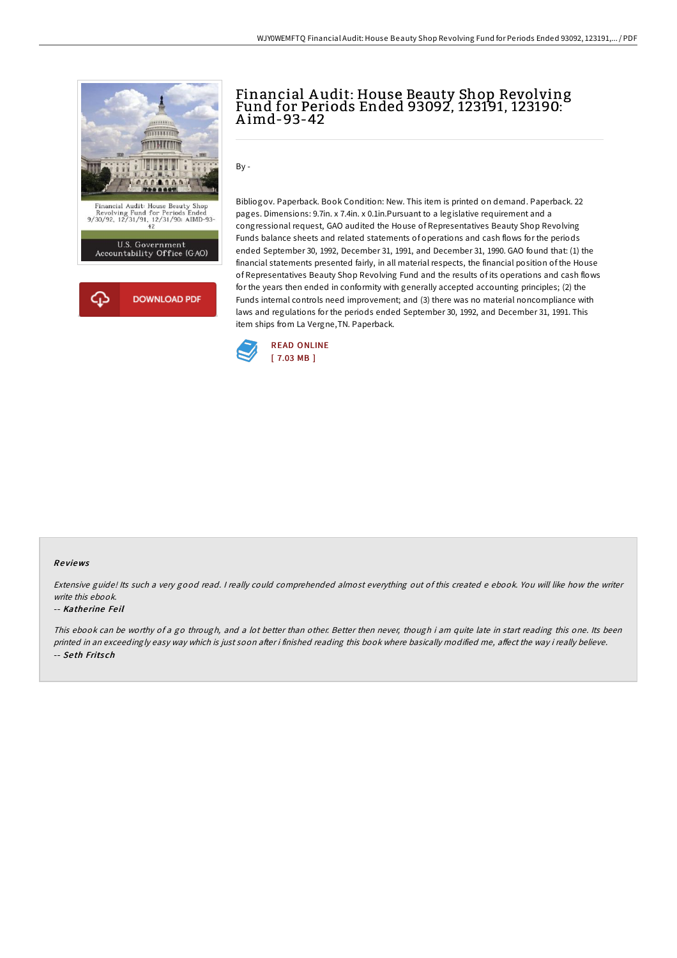

## Financial A udit: House Beauty Shop Revolving Fund for Periods Ended 93092, 123191, 123190: A imd-93-42

By -

Bibliogov. Paperback. Book Condition: New. This item is printed on demand. Paperback. 22 pages. Dimensions: 9.7in. x 7.4in. x 0.1in.Pursuant to a legislative requirement and a congressional request, GAO audited the House of Representatives Beauty Shop Revolving Funds balance sheets and related statements of operations and cash flows for the periods ended September 30, 1992, December 31, 1991, and December 31, 1990. GAO found that: (1) the financial statements presented fairly, in all material respects, the financial position of the House of Representatives Beauty Shop Revolving Fund and the results of its operations and cash flows for the years then ended in conformity with generally accepted accounting principles; (2) the Funds internal controls need improvement; and (3) there was no material noncompliance with laws and regulations for the periods ended September 30, 1992, and December 31, 1991. This item ships from La Vergne,TN. Paperback.



### Re views

Extensive guide! Its such a very good read. I really could comprehended almost everything out of this created e ebook. You will like how the writer write this ebook.

#### -- Katherine Feil

This ebook can be worthy of a go through, and a lot better than other. Better then never, though i am quite late in start reading this one. Its been printed in an exceedingly easy way which is just soon after i finished reading this book where basically modified me, affect the way i really believe. -- Se th Frits ch